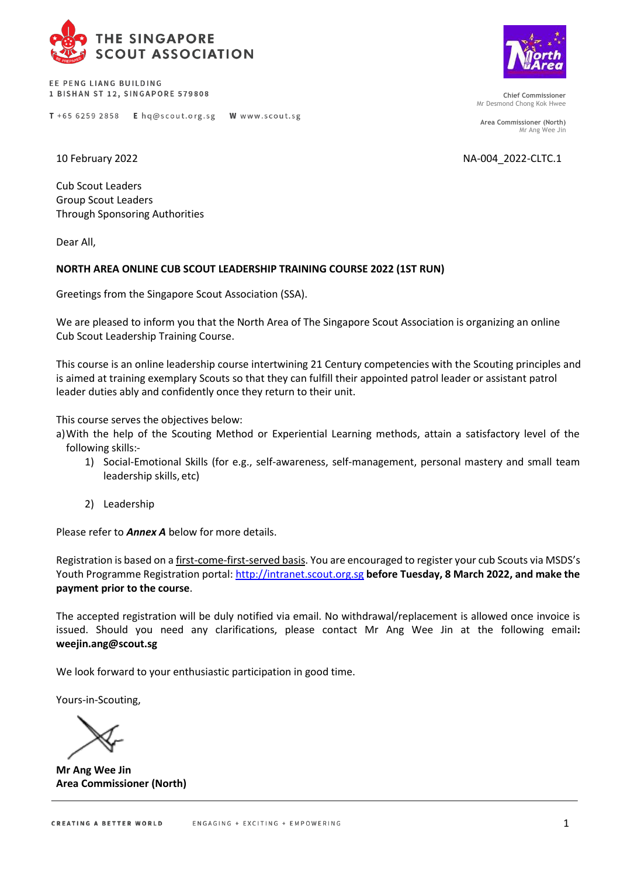

EE PENG LIANG BUILDING 1 BISHAN ST 12, SINGAPORE 579808

T +65 6259 2858 E hq@scout.org.sg





**Chief Commissioner** Mr Desmond Chong Kok Hwee

**Area Commissioner (North)** Mr Ang Wee Jin

10 February 2022 NA-004\_2022-CLTC.1

Cub Scout Leaders Group Scout Leaders Through Sponsoring Authorities

Dear All,

## **NORTH AREA ONLINE CUB SCOUT LEADERSHIP TRAINING COURSE 2022 (1ST RUN)**

W www.scout.sg

Greetings from the Singapore Scout Association (SSA).

We are pleased to inform you that the North Area of The Singapore Scout Association is organizing an online Cub Scout Leadership Training Course.

This course is an online leadership course intertwining 21 Century competencies with the Scouting principles and is aimed at training exemplary Scouts so that they can fulfill their appointed patrol leader or assistant patrol leader duties ably and confidently once they return to their unit.

This course serves the objectives below:

- a)With the help of the Scouting Method or Experiential Learning methods, attain a satisfactory level of the following skills:-
	- 1) Social-Emotional Skills (for e.g., self-awareness, self-management, personal mastery and small team leadership skills, etc)
	- 2) Leadership

Please refer to *Annex A* below for more details.

Registration is based on a first-come-first-served basis. You are encouraged to register your cub Scouts via MSDS's Youth Programme Registration portal[: http://intranet.scout.org.sg](http://intranet.scout.org.sg/) **before Tuesday, 8 March 2022, and make the payment prior to the course**.

The accepted registration will be duly notified via email. No withdrawal/replacement is allowed once invoice is issued. Should you need any clarifications, please contact Mr Ang Wee Jin at the following email**: [weejin.ang@scout.sg](mailto:weejin.ang@scout.sg)**

We look forward to your enthusiastic participation in good time.

Yours-in-Scouting,

**Mr Ang Wee Jin Area Commissioner (North)**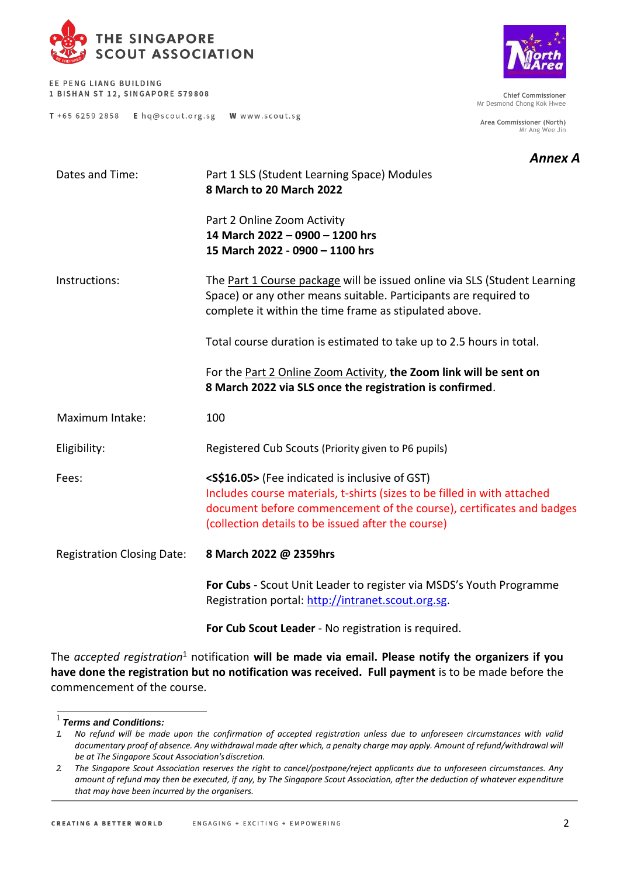

EE PENG LIANG BUILDING 1 BISHAN ST 12, SINGAPORE 579808

T +65 6259 2858 E hq@scout.org.sg W www.scout.sg



**Chief Commissioner** Mr Desmond Chong Kok Hwee

**Area Commissioner (North)** Mr Ang Wee Jin

## *Annex A*

| Dates and Time:                   | Part 1 SLS (Student Learning Space) Modules<br>8 March to 20 March 2022                                                                                                                                                                                                |  |  |  |
|-----------------------------------|------------------------------------------------------------------------------------------------------------------------------------------------------------------------------------------------------------------------------------------------------------------------|--|--|--|
|                                   | Part 2 Online Zoom Activity<br>14 March 2022 - 0900 - 1200 hrs<br>15 March 2022 - 0900 - 1100 hrs                                                                                                                                                                      |  |  |  |
| Instructions:                     | The Part 1 Course package will be issued online via SLS (Student Learning<br>Space) or any other means suitable. Participants are required to<br>complete it within the time frame as stipulated above.                                                                |  |  |  |
|                                   | Total course duration is estimated to take up to 2.5 hours in total.                                                                                                                                                                                                   |  |  |  |
|                                   | For the Part 2 Online Zoom Activity, the Zoom link will be sent on<br>8 March 2022 via SLS once the registration is confirmed.                                                                                                                                         |  |  |  |
| Maximum Intake:                   | 100                                                                                                                                                                                                                                                                    |  |  |  |
| Eligibility:                      | Registered Cub Scouts (Priority given to P6 pupils)                                                                                                                                                                                                                    |  |  |  |
| Fees:                             | <s\$16.05> (Fee indicated is inclusive of GST)<br/>Includes course materials, t-shirts (sizes to be filled in with attached<br/>document before commencement of the course), certificates and badges<br/>(collection details to be issued after the course)</s\$16.05> |  |  |  |
| <b>Registration Closing Date:</b> | 8 March 2022 @ 2359hrs                                                                                                                                                                                                                                                 |  |  |  |
|                                   | For Cubs - Scout Unit Leader to register via MSDS's Youth Programme<br>Registration portal: http://intranet.scout.org.sg.                                                                                                                                              |  |  |  |

**For Cub Scout Leader** - No registration is required.

The *accepted registration*<sup>1</sup> notification **will be made via email. Please notify the organizers if you have done the registration but no notification was received. Full payment** is to be made before the commencement of the course.

<sup>1</sup>*Terms and Conditions:*

*<sup>1.</sup> No refund will be made upon the confirmation of accepted registration unless due to unforeseen circumstances with valid*  documentary proof of absence. Any withdrawal made after which, a penalty charge may apply. Amount of refund/withdrawal will *be at The Singapore Scout Association'sdiscretion.*

*<sup>2.</sup> The Singapore Scout Association reserves the right to cancel/postpone/reject applicants due to unforeseen circumstances. Any amount of refund may then be executed, if any, by The Singapore Scout Association, after the deduction of whatever expenditure that may have been incurred by the organisers.*